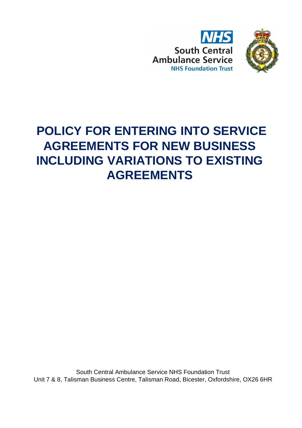



# **POLICY FOR ENTERING INTO SERVICE AGREEMENTS FOR NEW BUSINESS INCLUDING VARIATIONS TO EXISTING AGREEMENTS**

South Central Ambulance Service NHS Foundation Trust Unit 7 & 8, Talisman Business Centre, Talisman Road, Bicester, Oxfordshire, OX26 6HR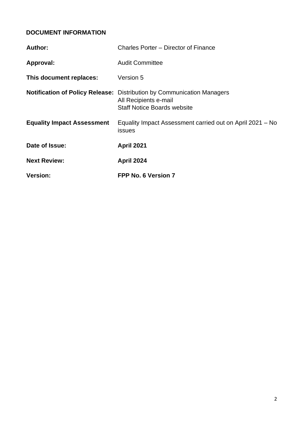## <span id="page-1-0"></span>**DOCUMENT INFORMATION**

| <b>Version:</b>                   | FPP No. 6 Version 7                                                                                                                   |
|-----------------------------------|---------------------------------------------------------------------------------------------------------------------------------------|
| <b>Next Review:</b>               | <b>April 2024</b>                                                                                                                     |
| Date of Issue:                    | <b>April 2021</b>                                                                                                                     |
| <b>Equality Impact Assessment</b> | Equality Impact Assessment carried out on April 2021 – No<br>issues                                                                   |
|                                   | Notification of Policy Release: Distribution by Communication Managers<br>All Recipients e-mail<br><b>Staff Notice Boards website</b> |
| This document replaces:           | Version 5                                                                                                                             |
| Approval:                         | <b>Audit Committee</b>                                                                                                                |
| Author:                           | Charles Porter – Director of Finance                                                                                                  |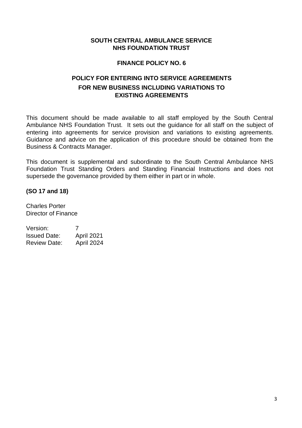#### **SOUTH CENTRAL AMBULANCE SERVICE NHS FOUNDATION TRUST**

#### **FINANCE POLICY NO. 6**

## **POLICY FOR ENTERING INTO SERVICE AGREEMENTS FOR NEW BUSINESS INCLUDING VARIATIONS TO EXISTING AGREEMENTS**

This document should be made available to all staff employed by the South Central Ambulance NHS Foundation Trust. It sets out the guidance for all staff on the subject of entering into agreements for service provision and variations to existing agreements. Guidance and advice on the application of this procedure should be obtained from the Business & Contracts Manager.

This document is supplemental and subordinate to the South Central Ambulance NHS Foundation Trust Standing Orders and Standing Financial Instructions and does not supersede the governance provided by them either in part or in whole.

#### **(SO 17 and 18)**

Charles Porter Director of Finance

| Version:            | 7          |
|---------------------|------------|
| <b>Issued Date:</b> | April 2021 |
| <b>Review Date:</b> | April 2024 |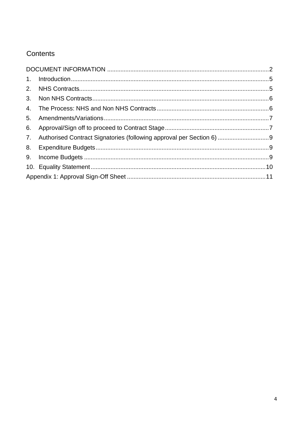## Contents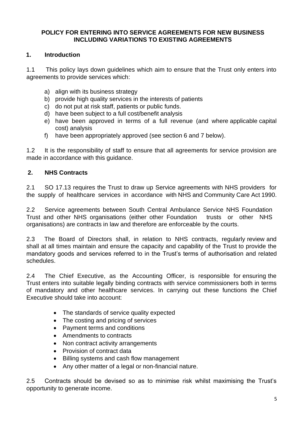#### **POLICY FOR ENTERING INTO SERVICE AGREEMENTS FOR NEW BUSINESS INCLUDING VARIATIONS TO EXISTING AGREEMENTS**

#### <span id="page-4-0"></span>**1. Introduction**

1.1 This policy lays down guidelines which aim to ensure that the Trust only enters into agreements to provide services which:

- a) align with its business strategy
- b) provide high quality services in the interests of patients
- c) do not put at risk staff, patients or public funds.
- d) have been subject to a full cost/benefit analysis
- e) have been approved in terms of a full revenue (and where applicable capital cost) analysis
- f) have been appropriately approved (see section 6 and 7 below).

1.2 It is the responsibility of staff to ensure that all agreements for service provision are made in accordance with this guidance.

#### <span id="page-4-1"></span>**2. NHS Contracts**

2.1 SO 17.13 requires the Trust to draw up Service agreements with NHS providers for the supply of healthcare services in accordance with NHS and Community Care Act 1990.

2.2 Service agreements between South Central Ambulance Service NHS Foundation Trust and other NHS organisations (either other Foundation trusts or other NHS organisations) are contracts in law and therefore are enforceable by the courts.

2.3 The Board of Directors shall, in relation to NHS contracts, regularly review and shall at all times maintain and ensure the capacity and capability of the Trust to provide the mandatory goods and services referred to in the Trust's terms of authorisation and related schedules.

2.4 The Chief Executive, as the Accounting Officer, is responsible for ensuring the Trust enters into suitable legally binding contracts with service commissioners both in terms of mandatory and other healthcare services. In carrying out these functions the Chief Executive should take into account:

- The standards of service quality expected
- The costing and pricing of services
- Payment terms and conditions
- Amendments to contracts
- Non contract activity arrangements
- Provision of contract data
- Billing systems and cash flow management
- Any other matter of a legal or non-financial nature.

2.5 Contracts should be devised so as to minimise risk whilst maximising the Trust's opportunity to generate income.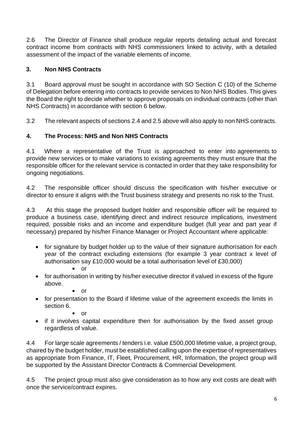2.6 The Director of Finance shall produce regular reports detailing actual and forecast contract income from contracts with NHS commissioners linked to activity, with a detailed assessment of the impact of the variable elements of income.

## <span id="page-5-0"></span>**3. Non NHS Contracts**

3.1 Board approval must be sought in accordance with SO Section C (10) of the Scheme of Delegation before entering into contracts to provide services to Non NHS Bodies. This gives the Board the right to decide whether to approve proposals on individual contracts (other than NHS Contracts) in accordance with section 6 below.

3.2 The relevant aspects of sections 2.4 and 2.5 above will also apply to non NHS contracts.

## <span id="page-5-1"></span>**4. The Process: NHS and Non NHS Contracts**

4.1 Where a representative of the Trust is approached to enter into agreements to provide new services or to make variations to existing agreements they must ensure that the responsible officer for the relevant service is contacted in order that they take responsibility for ongoing negotiations.

4.2 The responsible officer should discuss the specification with his/her executive or director to ensure it aligns with the Trust business strategy and presents no risk to the Trust.

4.3 At this stage the proposed budget holder and responsible officer will be required to produce a business case, identifying direct and indirect resource implications, investment required, possible risks and an income and expenditure budget (full year and part year if necessary) prepared by his/her Finance Manager or Project Accountant where applicable:

- for signature by budget holder up to the value of their signature authorisation for each year of the contract excluding extensions (for example 3 year contract x level of authorisation say £10,000 would be a total authorisation level of £30,000)
	- or
- for authorisation in writing by his/her executive director if valued in excess of the figure above.
	- or
- for presentation to the Board if lifetime value of the agreement exceeds the limits in section 6.
	- or
- if it involves capital expenditure then for authorisation by the fixed asset group regardless of value.

4.4 For large scale agreements / tenders i.e. value £500,000 lifetime value, a project group, chaired by the budget holder, must be established calling upon the expertise of representatives as appropriate from Finance, IT, Fleet, Procurement, HR, Information, the project group will be supported by the Assistant Director Contracts & Commercial Development.

4.5 The project group must also give consideration as to how any exit costs are dealt with once the service/contract expires.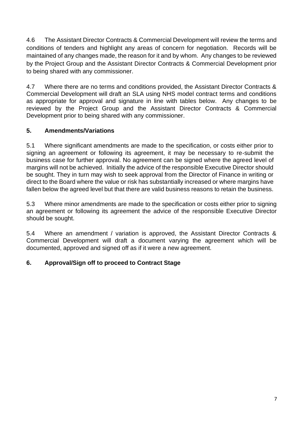4.6 The Assistant Director Contracts & Commercial Development will review the terms and conditions of tenders and highlight any areas of concern for negotiation. Records will be maintained of any changes made, the reason for it and by whom. Any changes to be reviewed by the Project Group and the Assistant Director Contracts & Commercial Development prior to being shared with any commissioner.

4.7 Where there are no terms and conditions provided, the Assistant Director Contracts & Commercial Development will draft an SLA using NHS model contract terms and conditions as appropriate for approval and signature in line with tables below. Any changes to be reviewed by the Project Group and the Assistant Director Contracts & Commercial Development prior to being shared with any commissioner.

## <span id="page-6-0"></span>**5. Amendments/Variations**

5.1 Where significant amendments are made to the specification, or costs either prior to signing an agreement or following its agreement, it may be necessary to re-submit the business case for further approval. No agreement can be signed where the agreed level of margins will not be achieved. Initially the advice of the responsible Executive Director should be sought. They in turn may wish to seek approval from the Director of Finance in writing or direct to the Board where the value or risk has substantially increased or where margins have fallen below the agreed level but that there are valid business reasons to retain the business.

5.3 Where minor amendments are made to the specification or costs either prior to signing an agreement or following its agreement the advice of the responsible Executive Director should be sought.

5.4 Where an amendment / variation is approved, the Assistant Director Contracts & Commercial Development will draft a document varying the agreement which will be documented, approved and signed off as if it were a new agreement.

## <span id="page-6-1"></span>**6. Approval/Sign off to proceed to Contract Stage**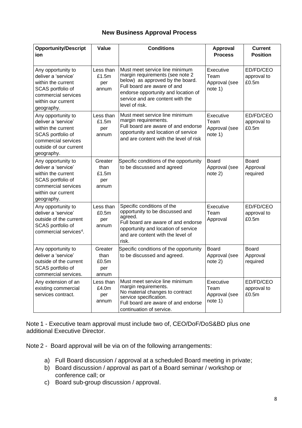#### **New Business Approval Process**

| <b>Opportunity/Descript</b><br>ion                                                                                                                  | Value                                    | <b>Conditions</b>                                                                                                                                                                                                                 | Approval<br><b>Process</b>                    | <b>Current</b><br><b>Position</b>    |
|-----------------------------------------------------------------------------------------------------------------------------------------------------|------------------------------------------|-----------------------------------------------------------------------------------------------------------------------------------------------------------------------------------------------------------------------------------|-----------------------------------------------|--------------------------------------|
| Any opportunity to<br>deliver a 'service'<br>within the current<br>SCAS portfolio of<br>commercial services<br>within our current<br>geography.     | Less than<br>£1.5m<br>per<br>annum       | Must meet service line minimum<br>margin requirements (see note 2<br>below) as approved by the board.<br>Full board are aware of and<br>endorse opportunity and location of<br>service and are content with the<br>level of risk. | Executive<br>Team<br>Approval (see<br>note 1) | ED/FD/CEO<br>approval to<br>£0.5m    |
| Any opportunity to<br>deliver a 'service'<br>within the current<br>SCAS portfolio of<br>commercial services<br>outside of our current<br>geography. | Less than<br>£1.5m<br>per<br>annum       | Must meet service line minimum<br>margin requirements.<br>Full board are aware of and endorse<br>opportunity and location of service<br>and are content with the level of risk                                                    | Executive<br>Team<br>Approval (see<br>note 1) | ED/FD/CEO<br>approval to<br>£0.5m    |
| Any opportunity to<br>deliver a 'service'<br>within the current<br>SCAS portfolio of<br>commercial services<br>within our current<br>geography.     | Greater<br>than<br>£1.5m<br>per<br>annum | Specific conditions of the opportunity<br>to be discussed and agreed                                                                                                                                                              | <b>Board</b><br>Approval (see<br>note 2)      | <b>Board</b><br>Approval<br>required |
| Any opportunity to<br>deliver a 'service'<br>outside of the current<br>SCAS portfolio of<br>commercial services <sup>4</sup> .                      | Less than<br>£0.5m<br>per<br>annum       | Specific conditions of the<br>opportunity to be discussed and<br>agreed.<br>Full board are aware of and endorse<br>opportunity and location of service<br>and are content with the level of<br>risk.                              | Executive<br>Team<br>Approval                 | ED/FD/CEO<br>approval to<br>£0.5m    |
| Any opportunity to<br>deliver a 'service'<br>outside of the current<br>SCAS portfolio of<br>commercial services.                                    | Greater<br>than<br>£0.5m<br>per<br>annum | Specific conditions of the opportunity<br>to be discussed and agreed.                                                                                                                                                             | <b>Board</b><br>Approval (see<br>note 2)      | <b>Board</b><br>Approval<br>required |
| Any extension of an<br>existing commercial<br>services contract.                                                                                    | Less than<br>£4.0m<br>per<br>annum       | Must meet service line minimum<br>margin requirements.<br>No material changes to contract<br>service specification.<br>Full board are aware of and endorse<br>continuation of service.                                            | Executive<br>Team<br>Approval (see<br>note 1) | ED/FD/CEO<br>approval to<br>£0.5m    |

Note 1 - Executive team approval must include two of, CEO/DoF/DoS&BD plus one additional Executive Director.

Note 2 - Board approval will be via on of the following arrangements:

- a) Full Board discussion / approval at a scheduled Board meeting in private;
- b) Board discussion / approval as part of a Board seminar / workshop or conference call; or
- c) Board sub-group discussion / approval.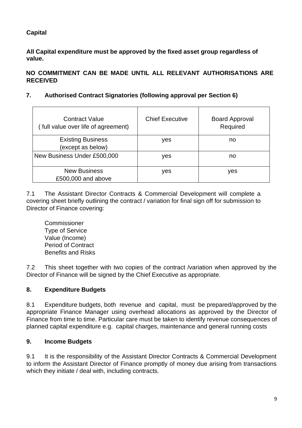## **Capital**

**All Capital expenditure must be approved by the fixed asset group regardless of value.**

**NO COMMITMENT CAN BE MADE UNTIL ALL RELEVANT AUTHORISATIONS ARE RECEIVED**

### <span id="page-8-0"></span>**7. Authorised Contract Signatories (following approval per Section 6)**

| <b>Contract Value</b><br>(full value over life of agreement) | <b>Chief Executive</b> | <b>Board Approval</b><br>Required |
|--------------------------------------------------------------|------------------------|-----------------------------------|
| <b>Existing Business</b><br>(except as below)                | yes                    | no                                |
| New Business Under £500,000                                  | yes                    | no                                |
| <b>New Business</b><br>£500,000 and above                    | yes                    | yes                               |

7.1 The Assistant Director Contracts & Commercial Development will complete a covering sheet briefly outlining the contract / variation for final sign off for submission to Director of Finance covering:

Commissioner Type of Service Value (Income) Period of Contract Benefits and Risks

7.2 This sheet together with two copies of the contract /variation when approved by the Director of Finance will be signed by the Chief Executive as appropriate.

## <span id="page-8-1"></span>**8. Expenditure Budgets**

8.1 Expenditure budgets, both revenue and capital, must be prepared/approved by the appropriate Finance Manager using overhead allocations as approved by the Director of Finance from time to time. Particular care must be taken to identify revenue consequences of planned capital expenditure e.g. capital charges, maintenance and general running costs

#### <span id="page-8-2"></span>**9. Income Budgets**

9.1 It is the responsibility of the Assistant Director Contracts & Commercial Development to inform the Assistant Director of Finance promptly of money due arising from transactions which they initiate / deal with, including contracts.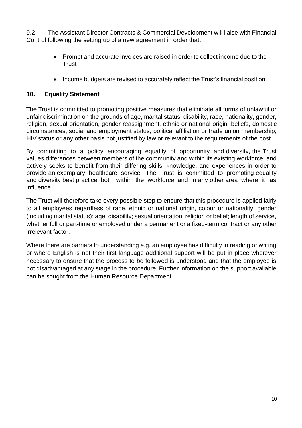9.2 The Assistant Director Contracts & Commercial Development will liaise with Financial Control following the setting up of a new agreement in order that:

- Prompt and accurate invoices are raised in order to collect income due to the **Trust**
- Income budgets are revised to accurately reflect the Trust's financial position.

#### <span id="page-9-0"></span>**10. Equality Statement**

The Trust is committed to promoting positive measures that eliminate all forms of unlawful or unfair discrimination on the grounds of age, marital status, disability, race, nationality, gender, religion, sexual orientation, gender reassignment, ethnic or national origin, beliefs, domestic circumstances, social and employment status, political affiliation or trade union membership, HIV status or any other basis not justified by law or relevant to the requirements of the post.

By committing to a policy encouraging equality of opportunity and diversity, the Trust values differences between members of the community and within its existing workforce, and actively seeks to benefit from their differing skills, knowledge, and experiences in order to provide an exemplary healthcare service. The Trust is committed to promoting equality and diversity best practice both within the workforce and in any other area where it has influence.

The Trust will therefore take every possible step to ensure that this procedure is applied fairly to all employees regardless of race, ethnic or national origin, colour or nationality; gender (including marital status); age; disability; sexual orientation; religion or belief; length of service, whether full or part-time or employed under a permanent or a fixed-term contract or any other irrelevant factor.

Where there are barriers to understanding e.g. an employee has difficulty in reading or writing or where English is not their first language additional support will be put in place wherever necessary to ensure that the process to be followed is understood and that the employee is not disadvantaged at any stage in the procedure. Further information on the support available can be sought from the Human Resource Department.